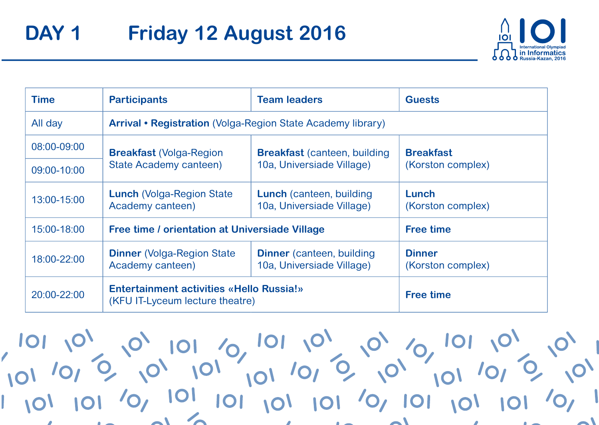

| <b>Time</b>     | <b>Participants</b>                                                                | <b>Team leaders</b>                                           | <b>Guests</b>                      |
|-----------------|------------------------------------------------------------------------------------|---------------------------------------------------------------|------------------------------------|
| All day         | Arrival • Registration (Volga-Region State Academy library)                        |                                                               |                                    |
| 08:00-09:00     | <b>Breakfast (Volga-Region)</b>                                                    | <b>Breakfast</b> (canteen, building                           | <b>Breakfast</b>                   |
| $09:00 - 10:00$ | State Academy canteen)                                                             | 10a, Universiade Village)                                     | (Korston complex)                  |
| 13:00-15:00     | <b>Lunch (Volga-Region State)</b><br>Academy canteen)                              | <b>Lunch</b> (canteen, building<br>10a. Universiade Village)  | Lunch<br>(Korston complex)         |
| 15:00-18:00     | Free time / orientation at Universiade Village                                     |                                                               | <b>Free time</b>                   |
| 18:00-22:00     | <b>Dinner</b> (Volga-Region State)<br>Academy canteen)                             | <b>Dinner</b> (canteen, building<br>10a, Universiade Village) | <b>Dinner</b><br>(Korston complex) |
| 20:00-22:00     | <b>Entertainment activities «Hello Russia!»</b><br>(KFU IT-Lyceum lecture theatre) |                                                               | <b>Free time</b>                   |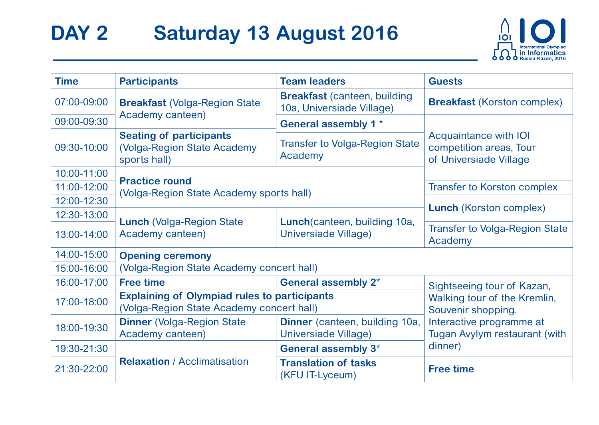## DAY 2 Saturday 13 August 2016



| <b>Time</b>     | <b>Participants</b>                                                                              | <b>Team leaders</b>                                              | <b>Guests</b>                                                              |
|-----------------|--------------------------------------------------------------------------------------------------|------------------------------------------------------------------|----------------------------------------------------------------------------|
| $07:00 - 09:00$ | <b>Breakfast (Volga-Region State)</b>                                                            | <b>Breakfast (canteen, building</b><br>10a, Universiade Village) | <b>Breakfast (Korston complex)</b>                                         |
| 09:00-09:30     | Academy canteen)                                                                                 | General assembly 1 *                                             |                                                                            |
| 09:30-10:00     | <b>Seating of participants</b><br>(Volga-Region State Academy<br>sports hall)                    | <b>Transfer to Volga-Region State</b><br>Academy                 | Acquaintance with IOI<br>competition areas, Tour<br>of Universiade Village |
| 10:00-11:00     |                                                                                                  |                                                                  |                                                                            |
| 11:00-12:00     | <b>Practice round</b><br>(Volga-Region State Academy sports hall)                                |                                                                  | <b>Transfer to Korston complex</b>                                         |
| 12:00-12:30     |                                                                                                  |                                                                  | <b>Lunch</b> (Korston complex)                                             |
| 12:30-13:00     | <b>Lunch (Volga-Region State)</b>                                                                | Lunch (canteen, building 10a,                                    |                                                                            |
| 13:00-14:00     | Academy canteen)                                                                                 | Universiade Village)                                             | <b>Transfer to Volga-Region State</b><br>Academy                           |
| 14:00-15:00     | <b>Opening ceremony</b>                                                                          |                                                                  |                                                                            |
| 15:00-16:00     | (Volga-Region State Academy concert hall)                                                        |                                                                  |                                                                            |
| 16:00-17:00     | <b>Free time</b>                                                                                 | General assembly 2*                                              | Sightseeing tour of Kazan,                                                 |
| 17:00-18:00     | <b>Explaining of Olympiad rules to participants</b><br>(Volga-Region State Academy concert hall) |                                                                  | Walking tour of the Kremlin,<br>Souvenir shopping.                         |
| 18:00-19:30     | <b>Dinner</b> (Volga-Region State)<br>Academy canteen)                                           | Dinner (canteen, building 10a,<br>Universiade Village)           | Interactive programme at<br>Tugan Avylym restaurant (with                  |
| 19:30-21:30     |                                                                                                  | General assembly 3 <sup>*</sup>                                  | dinner)                                                                    |
| 21:30-22:00     | <b>Relaxation / Acclimatisation</b>                                                              | <b>Translation of tasks</b><br>(KFU IT-Lyceum)                   | <b>Free time</b>                                                           |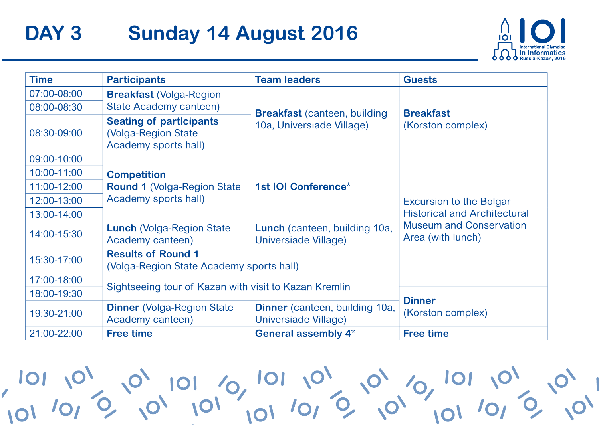### DAY<sub>3</sub> **Sunday 14 August 2016**



| <b>Time</b> | <b>Participants</b>                                                           | <b>Team leaders</b>                                               | <b>Guests</b>                                                                                                                |
|-------------|-------------------------------------------------------------------------------|-------------------------------------------------------------------|------------------------------------------------------------------------------------------------------------------------------|
| 07:00-08:00 | <b>Breakfast (Volga-Region</b>                                                |                                                                   |                                                                                                                              |
| 08:00-08:30 | State Academy canteen)                                                        | <b>Breakfast (canteen, building)</b><br>10a, Universiade Village) | <b>Breakfast</b>                                                                                                             |
| 08:30-09:00 | <b>Seating of participants</b><br>(Volga-Region State<br>Academy sports hall) |                                                                   | (Korston complex)                                                                                                            |
| 09:00-10:00 |                                                                               |                                                                   |                                                                                                                              |
| 10:00-11:00 | <b>Competition</b>                                                            |                                                                   |                                                                                                                              |
| 11:00-12:00 | <b>Round 1 (Volga-Region State)</b><br>Academy sports hall)                   | 1st IOI Conference*                                               | <b>Excursion to the Bolgar</b><br><b>Historical and Architectural</b><br><b>Museum and Conservation</b><br>Area (with lunch) |
| 12:00-13:00 |                                                                               |                                                                   |                                                                                                                              |
| 13:00-14:00 |                                                                               |                                                                   |                                                                                                                              |
| 14:00-15:30 | <b>Lunch (Volga-Region State)</b><br>Academy canteen)                         | Lunch (canteen, building 10a,<br>Universiade Village)             |                                                                                                                              |
| 15:30-17:00 | <b>Results of Round 1</b><br>(Volga-Region State Academy sports hall)         |                                                                   |                                                                                                                              |
| 17:00-18:00 | Sightseeing tour of Kazan with visit to Kazan Kremlin                         |                                                                   |                                                                                                                              |
| 18:00-19:30 |                                                                               |                                                                   | <b>Dinner</b>                                                                                                                |
| 19:30-21:00 | <b>Dinner</b> (Volga-Region State)<br>Academy canteen)                        | Dinner (canteen, building 10a,<br>Universiade Village)            | (Korston complex)                                                                                                            |
| 21:00-22:00 | <b>Free time</b>                                                              | General assembly 4*                                               | <b>Free time</b>                                                                                                             |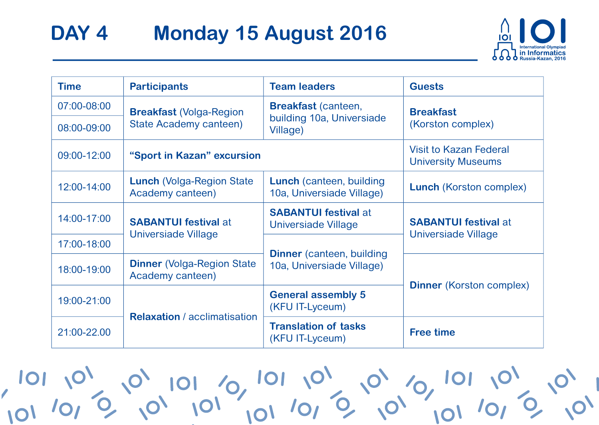# DAY<sub>4</sub> **Monday 15 August 2016**



| <b>Time</b> | <b>Participants</b>                                       | <b>Team leaders</b>                                                 | <b>Guests</b>                                                                         |
|-------------|-----------------------------------------------------------|---------------------------------------------------------------------|---------------------------------------------------------------------------------------|
| 07:00-08:00 | <b>Breakfast (Volga-Region)</b><br>State Academy canteen) | <b>Breakfast (canteen,</b><br>building 10a, Universiade<br>Village) | <b>Breakfast</b><br>(Korston complex)                                                 |
| 08:00-09:00 |                                                           |                                                                     |                                                                                       |
| 09:00-12:00 | "Sport in Kazan" excursion                                |                                                                     | Visit to Kazan Federal<br><b>University Museums</b>                                   |
| 12:00-14:00 | <b>Lunch (Volga-Region State)</b><br>Academy canteen)     | Lunch (canteen, building<br>10a, Universiade Village)               | <b>Lunch</b> (Korston complex)                                                        |
| 14:00-17:00 | <b>SABANTUI festival at</b>                               | <b>SABANTUI festival at</b><br>Universiade Village                  | <b>SABANTUI festival at</b><br>Universiade Village<br><b>Dinner</b> (Korston complex) |
| 17:00-18:00 | Universiade Village                                       | <b>Dinner</b> (canteen, building<br>10a, Universiade Village)       |                                                                                       |
| 18:00-19:00 | <b>Dinner</b> (Volga-Region State)<br>Academy canteen)    |                                                                     |                                                                                       |
| 19:00-21:00 | <b>Relaxation</b> / acclimatisation                       | <b>General assembly 5</b><br>(KFU IT-Lyceum)                        |                                                                                       |
| 21:00-22.00 |                                                           | <b>Translation of tasks</b><br>(KFU IT-Lyceum)                      | <b>Free time</b>                                                                      |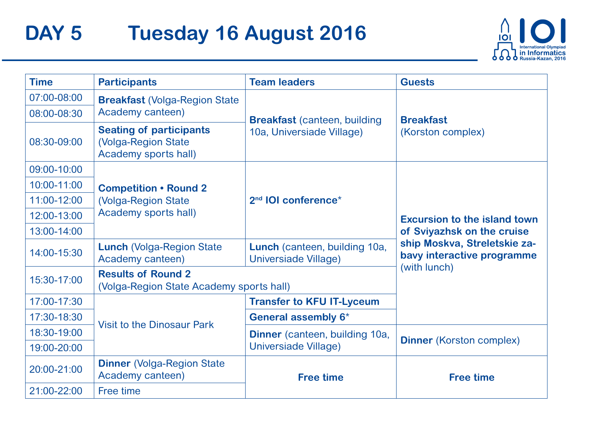#### DAY 5 Tuesday 16 August 2016



| <b>Time</b> | <b>Participants</b>                                                            | <b>Team leaders</b>                                   | <b>Guests</b>                                              |
|-------------|--------------------------------------------------------------------------------|-------------------------------------------------------|------------------------------------------------------------|
| 07:00-08:00 | <b>Breakfast (Volga-Region State)</b>                                          |                                                       |                                                            |
| 08:00-08:30 | Academy canteen)                                                               | <b>Breakfast (canteen, building</b>                   | <b>Breakfast</b>                                           |
| 08:30-09:00 | <b>Seating of participants</b><br>(Volga-Region State)<br>Academy sports hall) | 10a, Universiade Village)                             | (Korston complex)                                          |
| 09:00-10:00 |                                                                                |                                                       |                                                            |
| 10:00-11:00 | <b>Competition • Round 2</b><br>(Volga-Region State)<br>Academy sports hall)   | 2 <sup>nd</sup> IOI conference <sup>*</sup>           | Excursion to the island town<br>of Sviyazhsk on the cruise |
| 11:00-12:00 |                                                                                |                                                       |                                                            |
| 12:00-13:00 |                                                                                |                                                       |                                                            |
| 13:00-14:00 |                                                                                |                                                       |                                                            |
| 14:00-15:30 | <b>Lunch (Volga-Region State)</b><br>Academy canteen)                          | Lunch (canteen, building 10a,<br>Universiade Village) | ship Moskva, Streletskie za-<br>bavy interactive programme |
| 15:30-17:00 | <b>Results of Round 2</b><br>(Volga-Region State Academy sports hall)          |                                                       | (with lunch)                                               |
| 17:00-17:30 | Visit to the Dinosaur Park                                                     | <b>Transfer to KFU IT-Lyceum</b>                      |                                                            |
| 17:30-18:30 |                                                                                | General assembly 6*                                   |                                                            |
| 18:30-19:00 |                                                                                | Dinner (canteen, building 10a,                        | <b>Dinner</b> (Korston complex)                            |
| 19:00-20:00 |                                                                                | Universiade Village)                                  |                                                            |
| 20:00-21:00 | <b>Dinner (Volga-Region State</b><br>Academy canteen)                          | <b>Free time</b>                                      | <b>Free time</b>                                           |
| 21:00-22:00 | Free time                                                                      |                                                       |                                                            |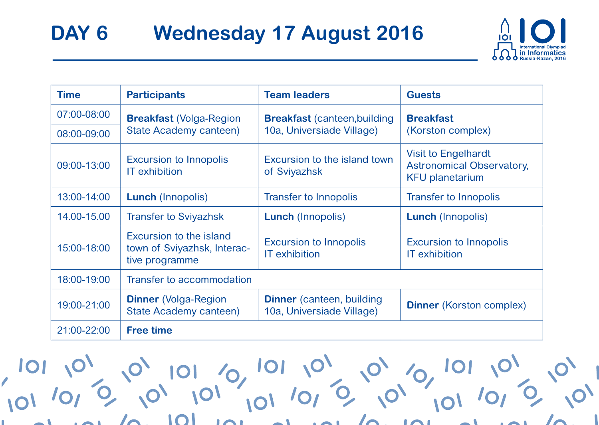

| Time          | <b>Participants</b>                                                      | <b>Team leaders</b>                                           | <b>Guests</b>                                                                            |
|---------------|--------------------------------------------------------------------------|---------------------------------------------------------------|------------------------------------------------------------------------------------------|
| 07:00-08:00   | <b>Breakfast (Volga-Region</b>                                           | <b>Breakfast</b> (canteen, building                           | <b>Breakfast</b>                                                                         |
| 08:00-09:00   | State Academy canteen)                                                   | 10a, Universiade Village)                                     | (Korston complex)                                                                        |
| 09:00-13:00   | <b>Excursion to Innopolis</b><br><b>IT</b> exhibition                    | Excursion to the island town<br>of Sviyazhsk                  | <b>Visit to Engelhardt</b><br><b>Astronomical Observatory,</b><br><b>KFU planetarium</b> |
| $13:00-14:00$ | <b>Lunch (Innopolis)</b>                                                 | <b>Transfer to Innopolis</b>                                  | Transfer to Innopolis                                                                    |
| 14.00-15.00   | <b>Transfer to Sviyazhsk</b>                                             | <b>Lunch</b> (Innopolis)                                      | <b>Lunch</b> (Innopolis)                                                                 |
| 15:00-18:00   | Excursion to the island<br>town of Sviyazhsk, Interac-<br>tive programme | <b>Excursion to Innopolis</b><br><b>IT</b> exhibition         | <b>Excursion to Innopolis</b><br><b>IT</b> exhibition                                    |
| 18:00-19:00   | Transfer to accommodation                                                |                                                               |                                                                                          |
| 19:00-21:00   | <b>Dinner</b> (Volga-Region<br><b>State Academy canteen)</b>             | <b>Dinner</b> (canteen, building<br>10a, Universiade Village) | <b>Dinner</b> (Korston complex)                                                          |
| 21:00-22:00   | <b>Free time</b>                                                         |                                                               |                                                                                          |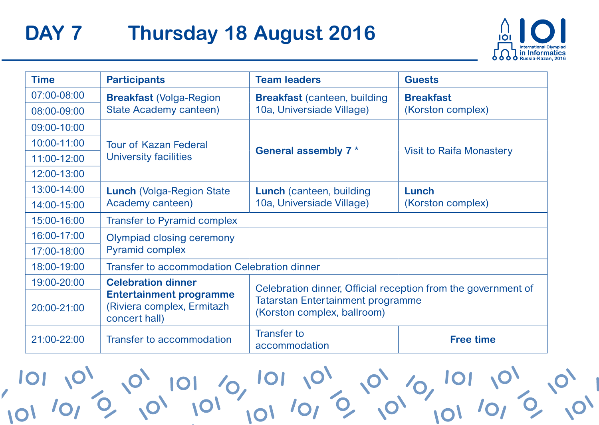# DAY 7 **Thursday 18 August 2016**



| <b>Time</b>     | <b>Participants</b>                                                           | <b>Team leaders</b>                                                     | <b>Guests</b>            |
|-----------------|-------------------------------------------------------------------------------|-------------------------------------------------------------------------|--------------------------|
| $07:00 - 08:00$ | <b>Breakfast (Volga-Region</b>                                                | <b>Breakfast</b> (canteen, building                                     | <b>Breakfast</b>         |
| 08:00-09:00     | State Academy canteen)                                                        | 10a, Universiade Village)                                               | (Korston complex)        |
| 09:00-10:00     |                                                                               |                                                                         |                          |
| 10:00-11:00     | <b>Tour of Kazan Federal</b>                                                  |                                                                         |                          |
| 11:00-12:00     | University facilities                                                         | General assembly 7*                                                     | Visit to Raifa Monastery |
| 12:00-13:00     |                                                                               |                                                                         |                          |
| 13:00-14:00     | <b>Lunch (Volga-Region State)</b>                                             | Lunch (canteen, building                                                | Lunch                    |
| 14:00-15:00     | Academy canteen)                                                              | 10a, Universiade Village)                                               | (Korston complex)        |
| 15:00-16:00     | <b>Transfer to Pyramid complex</b>                                            |                                                                         |                          |
| 16:00-17:00     | Olympiad closing ceremony<br><b>Pyramid complex</b>                           |                                                                         |                          |
| 17:00-18:00     |                                                                               |                                                                         |                          |
| 18:00-19:00     | Transfer to accommodation Celebration dinner                                  |                                                                         |                          |
| 19:00-20:00     | <b>Celebration dinner</b>                                                     | Celebration dinner, Official reception from the government of           |                          |
| $20:00 - 21:00$ | <b>Entertainment programme</b><br>(Riviera complex, Ermitazh<br>concert hall) | <b>Tatarstan Entertainment programme</b><br>(Korston complex, ballroom) |                          |
| 21:00-22:00     | Transfer to accommodation                                                     | <b>Transfer to</b><br>accommodation                                     | <b>Free time</b>         |